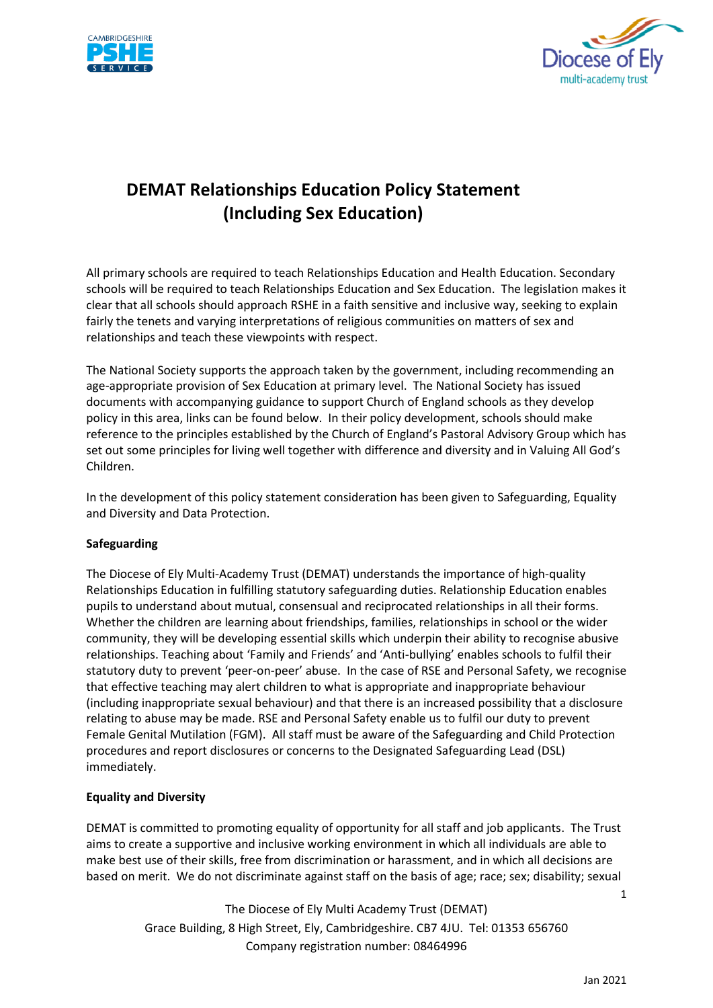



# **DEMAT Relationships Education Policy Statement (Including Sex Education)**

All primary schools are required to teach Relationships Education and Health Education. Secondary schools will be required to teach Relationships Education and Sex Education. The legislation makes it clear that all schools should approach RSHE in a faith sensitive and inclusive way, seeking to explain fairly the tenets and varying interpretations of religious communities on matters of sex and relationships and teach these viewpoints with respect.

The National Society supports the approach taken by the government, including recommending an age-appropriate provision of Sex Education at primary level. The National Society has issued documents with accompanying guidance to support Church of England schools as they develop policy in this area, links can be found below. In their policy development, schools should make reference to the principles established by the Church of England's Pastoral Advisory Group which has set out some [principles for living well together with difference and diversity](https://www.churchofengland.org/sites/default/files/2019-02/PAG-PP-website.pdf) and in [Valuing All God's](https://www.churchofengland.org/sites/default/files/2019-07/Valuing%20All%20God%27s%20Children%20July%202019_0.pdf)  [Children.](https://www.churchofengland.org/sites/default/files/2019-07/Valuing%20All%20God%27s%20Children%20July%202019_0.pdf)

In the development of this policy statement consideration has been given to Safeguarding, Equality and Diversity and Data Protection.

# **Safeguarding**

The Diocese of Ely Multi-Academy Trust (DEMAT) understands the importance of high-quality Relationships Education in fulfilling statutory safeguarding duties. Relationship Education enables pupils to understand about mutual, consensual and reciprocated relationships in all their forms. Whether the children are learning about friendships, families, relationships in school or the wider community, they will be developing essential skills which underpin their ability to recognise abusive relationships. Teaching about 'Family and Friends' and 'Anti-bullying' enables schools to fulfil their statutory duty to prevent 'peer-on-peer' abuse. In the case of RSE and Personal Safety, we recognise that effective teaching may alert children to what is appropriate and inappropriate behaviour (including inappropriate sexual behaviour) and that there is an increased possibility that a disclosure relating to abuse may be made. RSE and Personal Safety enable us to fulfil our duty to prevent Female Genital Mutilation (FGM). All staff must be aware of the Safeguarding and Child Protection procedures and report disclosures or concerns to the Designated Safeguarding Lead (DSL) immediately.

#### **Equality and Diversity**

DEMAT is committed to promoting equality of opportunity for all staff and job applicants. The Trust aims to create a supportive and inclusive working environment in which all individuals are able to make best use of their skills, free from discrimination or harassment, and in which all decisions are based on merit. We do not discriminate against staff on the basis of age; race; sex; disability; sexual

> The Diocese of Ely Multi Academy Trust (DEMAT) Grace Building, 8 High Street, Ely, Cambridgeshire. CB7 4JU. Tel: 01353 656760 Company registration number: 08464996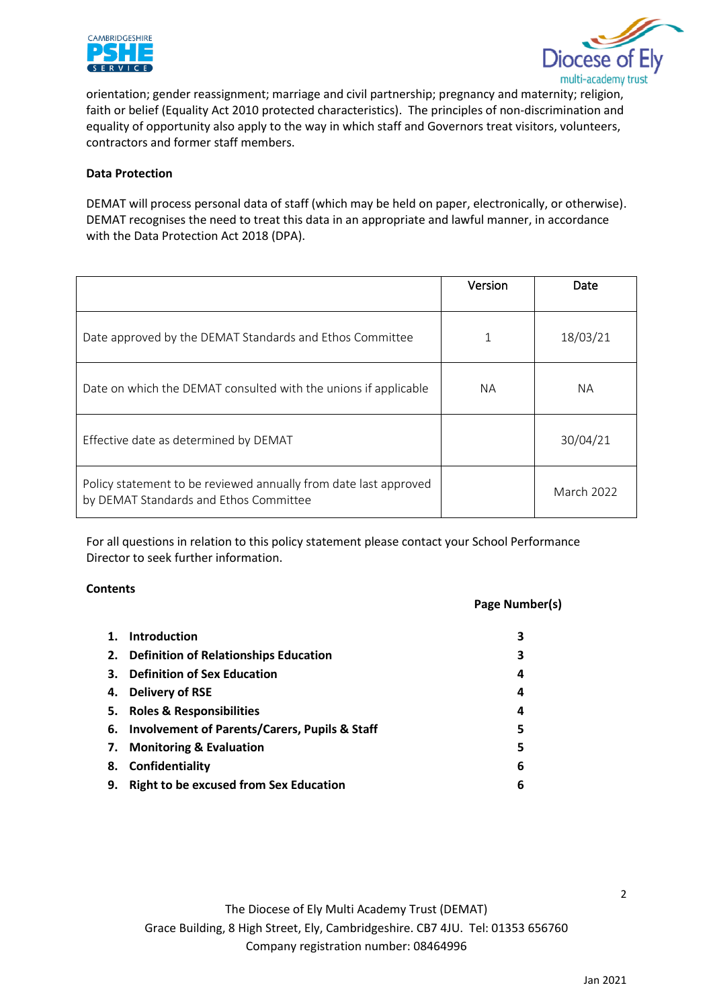



orientation; gender reassignment; marriage and civil partnership; pregnancy and maternity; religion, faith or belief (Equality Act 2010 protected characteristics). The principles of non-discrimination and equality of opportunity also apply to the way in which staff and Governors treat visitors, volunteers, contractors and former staff members.

### **Data Protection**

DEMAT will process personal data of staff (which may be held on paper, electronically, or otherwise). DEMAT recognises the need to treat this data in an appropriate and lawful manner, in accordance with the Data Protection Act 2018 (DPA).

|                                                                                                            | Version   | Date       |
|------------------------------------------------------------------------------------------------------------|-----------|------------|
| Date approved by the DEMAT Standards and Ethos Committee                                                   |           | 18/03/21   |
| Date on which the DEMAT consulted with the unions if applicable                                            | <b>NA</b> | <b>NA</b>  |
| Effective date as determined by DEMAT                                                                      |           | 30/04/21   |
| Policy statement to be reviewed annually from date last approved<br>by DEMAT Standards and Ethos Committee |           | March 2022 |

For all questions in relation to this policy statement please contact your School Performance Director to seek further information.

#### **Contents**

#### **Page Number(s)**

|    | 1. Introduction                                  |   |
|----|--------------------------------------------------|---|
|    | 2. Definition of Relationships Education         | 3 |
|    | 3. Definition of Sex Education                   | 4 |
|    | 4. Delivery of RSE                               | 4 |
|    | 5. Roles & Responsibilities                      | 4 |
|    | 6. Involvement of Parents/Carers, Pupils & Staff | 5 |
|    | 7. Monitoring & Evaluation                       | 5 |
|    | 8. Confidentiality                               | 6 |
| 9. | <b>Right to be excused from Sex Education</b>    | 6 |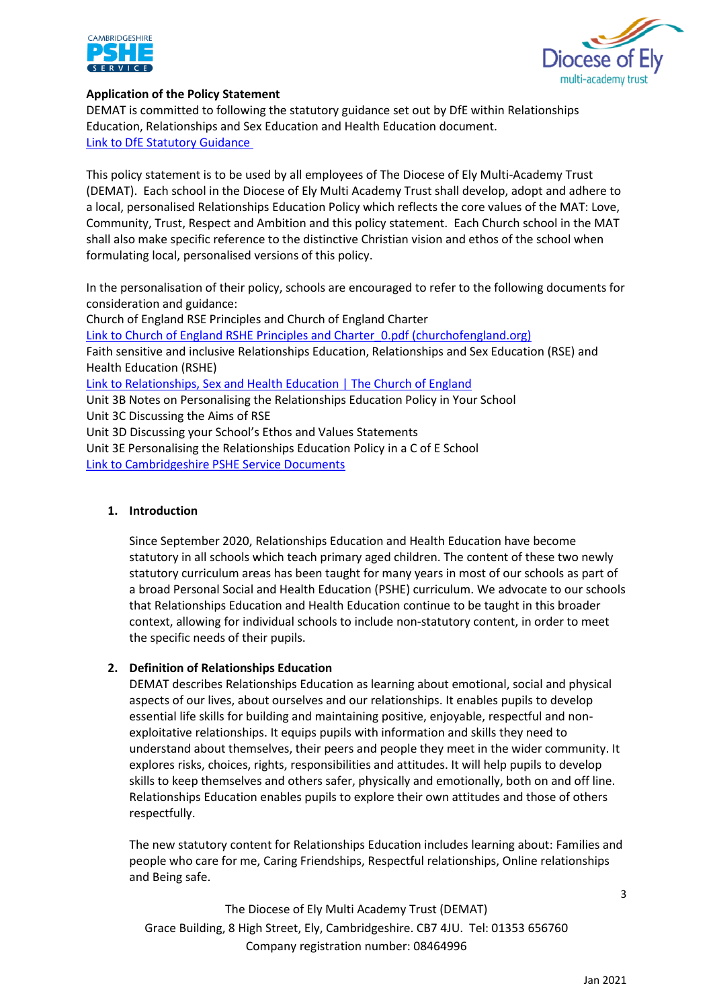



# **Application of the Policy Statement**

DEMAT is committed to following the statutory guidance set out by DfE within Relationships Education, Relationships and Sex Education and Health Education document. [Link to DfE Statutory Guidance](https://dematuk.sharepoint.com/Shared%20Documents/DEMAT/Claire%20Gray/PSHE/RSE%20-%20ALL%20DOCS/FINAL%20RSE%20Policy%20Docs/For%20Trustees/DfE%20Statutory%20Guidance) 

This policy statement is to be used by all employees of The Diocese of Ely Multi-Academy Trust (DEMAT). Each school in the Diocese of Ely Multi Academy Trust shall develop, adopt and adhere to a local, personalised Relationships Education Policy which reflects the core values of the MAT: Love, Community, Trust, Respect and Ambition and this policy statement. Each Church school in the MAT shall also make specific reference to the distinctive Christian vision and ethos of the school when formulating local, personalised versions of this policy.

In the personalisation of their policy, schools are encouraged to refer to the following documents for consideration and guidance:

Church of England RSE Principles and Church of England Charter [Link to Church of England RSHE Principles and Charter\\_0.pdf \(churchofengland.org\)](https://www.churchofengland.org/sites/default/files/2019-11/RSHE%20Principles%20and%20Charter_0.pdf) Faith sensitive and inclusive Relationships Education, Relationships and Sex Education (RSE) and Health Education (RSHE) [Link to Relationships, Sex and Health Education | The Church of England](https://www.churchofengland.org/about/education-and-schools/church-schools-and-academies/relationships-sex-and-health-education) Unit 3B Notes on Personalising the Relationships Education Policy in Your School Unit 3C Discussing the Aims of RSE Unit 3D Discussing your School's Ethos and Values Statements Unit 3E Personalising the Relationships Education Policy in a C of E School [Link to Cambridgeshire PSHE Service Documents](https://www.pshecambridgeshire.org.uk/website)

#### **1. Introduction**

Since September 2020, Relationships Education and Health Education have become statutory in all schools which teach primary aged children. The content of these two newly statutory curriculum areas has been taught for many years in most of our schools as part of a broad Personal Social and Health Education (PSHE) curriculum. We advocate to our schools that Relationships Education and Health Education continue to be taught in this broader context, allowing for individual schools to include non-statutory content, in order to meet the specific needs of their pupils.

#### **2. Definition of Relationships Education**

DEMAT describes Relationships Education as learning about emotional, social and physical aspects of our lives, about ourselves and our relationships. It enables pupils to develop essential life skills for building and maintaining positive, enjoyable, respectful and nonexploitative relationships. It equips pupils with information and skills they need to understand about themselves, their peers and people they meet in the wider community. It explores risks, choices, rights, responsibilities and attitudes. It will help pupils to develop skills to keep themselves and others safer, physically and emotionally, both on and off line. Relationships Education enables pupils to explore their own attitudes and those of others respectfully.

The new statutory content for Relationships Education includes learning about: Families and people who care for me, Caring Friendships, Respectful relationships, Online relationships and Being safe.

The Diocese of Ely Multi Academy Trust (DEMAT) Grace Building, 8 High Street, Ely, Cambridgeshire. CB7 4JU. Tel: 01353 656760 Company registration number: 08464996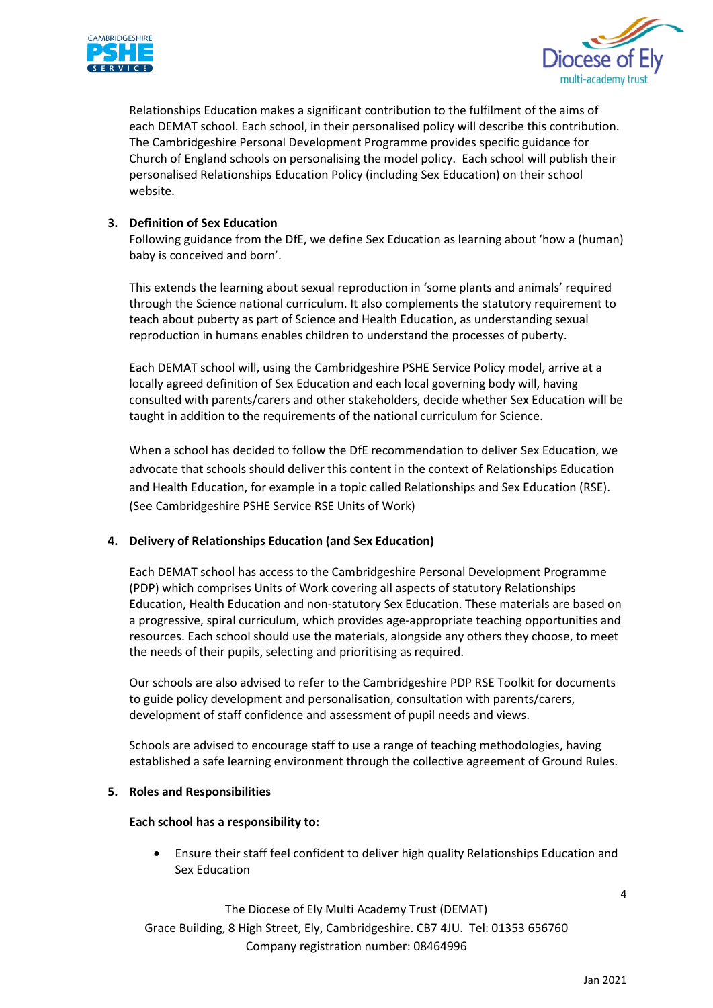



Relationships Education makes a significant contribution to the fulfilment of the aims of each DEMAT school. Each school, in their personalised policy will describe this contribution. The Cambridgeshire Personal Development Programme provides specific guidance for Church of England schools on personalising the model policy. Each school will publish their personalised Relationships Education Policy (including Sex Education) on their school website.

### **3. Definition of Sex Education**

Following guidance from the DfE, we define Sex Education as learning about 'how a (human) baby is conceived and born'.

This extends the learning about sexual reproduction in 'some plants and animals' required through the Science national curriculum. It also complements the statutory requirement to teach about puberty as part of Science and Health Education, as understanding sexual reproduction in humans enables children to understand the processes of puberty.

Each DEMAT school will, using the Cambridgeshire PSHE Service Policy model, arrive at a locally agreed definition of Sex Education and each local governing body will, having consulted with parents/carers and other stakeholders, decide whether Sex Education will be taught in addition to the requirements of the national curriculum for Science.

When a school has decided to follow the DfE recommendation to deliver Sex Education, we advocate that schools should deliver this content in the context of Relationships Education and Health Education, for example in a topic called Relationships and Sex Education (RSE). (See Cambridgeshire PSHE Service RSE Units of Work)

#### **4. Delivery of Relationships Education (and Sex Education)**

Each DEMAT school has access to the Cambridgeshire Personal Development Programme (PDP) which comprises Units of Work covering all aspects of statutory Relationships Education, Health Education and non-statutory Sex Education. These materials are based on a progressive, spiral curriculum, which provides age-appropriate teaching opportunities and resources. Each school should use the materials, alongside any others they choose, to meet the needs of their pupils, selecting and prioritising as required.

Our schools are also advised to refer to the Cambridgeshire PDP RSE Toolkit for documents to guide policy development and personalisation, consultation with parents/carers, development of staff confidence and assessment of pupil needs and views.

Schools are advised to encourage staff to use a range of teaching methodologies, having established a safe learning environment through the collective agreement of Ground Rules.

#### **5. Roles and Responsibilities**

#### **Each school has a responsibility to:**

• Ensure their staff feel confident to deliver high quality Relationships Education and Sex Education

The Diocese of Ely Multi Academy Trust (DEMAT) Grace Building, 8 High Street, Ely, Cambridgeshire. CB7 4JU. Tel: 01353 656760 Company registration number: 08464996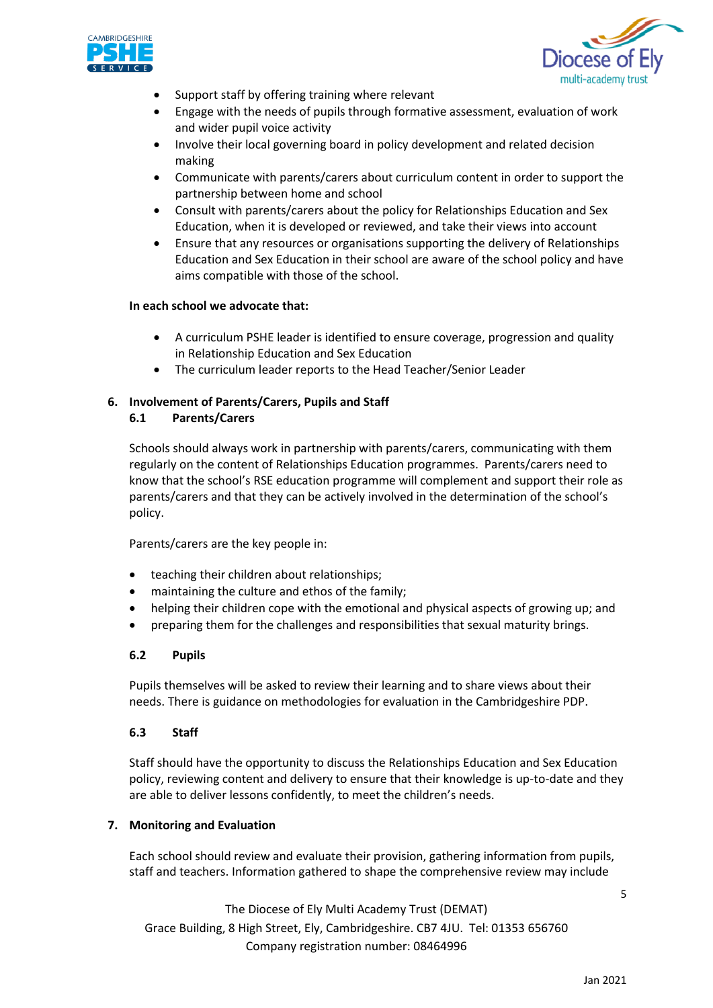



- Support staff by offering training where relevant
- Engage with the needs of pupils through formative assessment, evaluation of work and wider pupil voice activity
- Involve their local governing board in policy development and related decision making
- Communicate with parents/carers about curriculum content in order to support the partnership between home and school
- Consult with parents/carers about the policy for Relationships Education and Sex Education, when it is developed or reviewed, and take their views into account
- Ensure that any resources or organisations supporting the delivery of Relationships Education and Sex Education in their school are aware of the school policy and have aims compatible with those of the school.

#### **In each school we advocate that:**

- A curriculum PSHE leader is identified to ensure coverage, progression and quality in Relationship Education and Sex Education
- The curriculum leader reports to the Head Teacher/Senior Leader

# **6. Involvement of Parents/Carers, Pupils and Staff**

#### **6.1 Parents/Carers**

Schools should always work in partnership with parents/carers, communicating with them regularly on the content of Relationships Education programmes. Parents/carers need to know that the school's RSE education programme will complement and support their role as parents/carers and that they can be actively involved in the determination of the school's policy.

Parents/carers are the key people in:

- teaching their children about relationships;
- maintaining the culture and ethos of the family;
- helping their children cope with the emotional and physical aspects of growing up; and
- preparing them for the challenges and responsibilities that sexual maturity brings.

#### **6.2 Pupils**

Pupils themselves will be asked to review their learning and to share views about their needs. There is guidance on methodologies for evaluation in the Cambridgeshire PDP.

#### **6.3 Staff**

Staff should have the opportunity to discuss the Relationships Education and Sex Education policy, reviewing content and delivery to ensure that their knowledge is up-to-date and they are able to deliver lessons confidently, to meet the children's needs.

#### **7. Monitoring and Evaluation**

Each school should review and evaluate their provision, gathering information from pupils, staff and teachers. Information gathered to shape the comprehensive review may include

The Diocese of Ely Multi Academy Trust (DEMAT) Grace Building, 8 High Street, Ely, Cambridgeshire. CB7 4JU. Tel: 01353 656760 Company registration number: 08464996